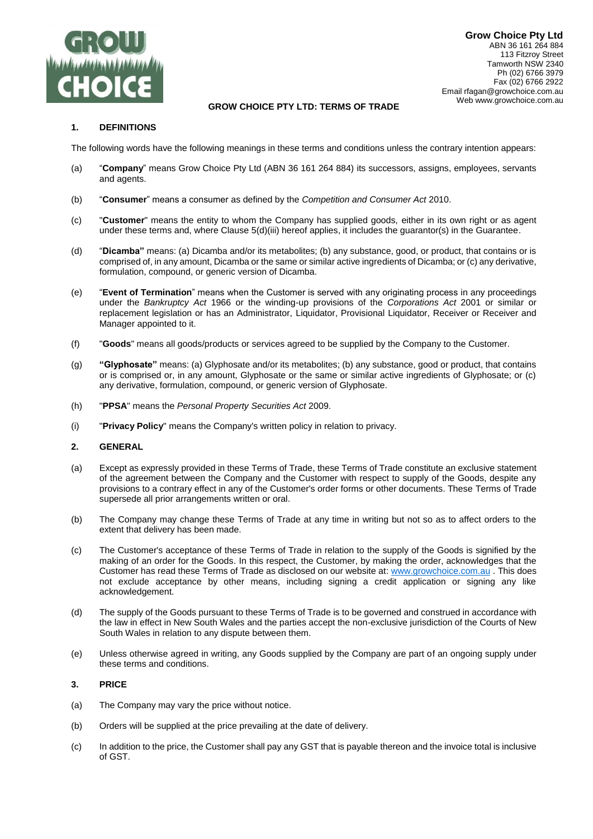

# GROW CHOICE PTY LTD: TERMS OF TRADE

# **1. DEFINITIONS**

The following words have the following meanings in these terms and conditions unless the contrary intention appears:

- (a) "**Company**" means Grow Choice Pty Ltd (ABN 36 161 264 884) its successors, assigns, employees, servants and agents.
- (b) "**Consumer**" means a consumer as defined by the *Competition and Consumer Act* 2010.
- (c) "**Customer**" means the entity to whom the Company has supplied goods, either in its own right or as agent under these terms and, where Clause 5(d)(iii) hereof applies, it includes the guarantor(s) in the Guarantee.
- (d) "**Dicamba"** means: (a) Dicamba and/or its metabolites; (b) any substance, good, or product, that contains or is comprised of, in any amount, Dicamba or the same or similar active ingredients of Dicamba; or (c) any derivative, formulation, compound, or generic version of Dicamba.
- (e) "**Event of Termination**" means when the Customer is served with any originating process in any proceedings under the *Bankruptcy Act* 1966 or the winding-up provisions of the *Corporations Act* 2001 or similar or replacement legislation or has an Administrator, Liquidator, Provisional Liquidator, Receiver or Receiver and Manager appointed to it.
- (f) "**Goods**" means all goods/products or services agreed to be supplied by the Company to the Customer.
- (g) **"Glyphosate"** means: (a) Glyphosate and/or its metabolites; (b) any substance, good or product, that contains or is comprised or, in any amount, Glyphosate or the same or similar active ingredients of Glyphosate; or (c) any derivative, formulation, compound, or generic version of Glyphosate.
- (h) "**PPSA**" means the *Personal Property Securities Act* 2009.
- (i) "**Privacy Policy**" means the Company's written policy in relation to privacy.

## **2. GENERAL**

- (a) Except as expressly provided in these Terms of Trade, these Terms of Trade constitute an exclusive statement of the agreement between the Company and the Customer with respect to supply of the Goods, despite any provisions to a contrary effect in any of the Customer's order forms or other documents. These Terms of Trade supersede all prior arrangements written or oral.
- (b) The Company may change these Terms of Trade at any time in writing but not so as to affect orders to the extent that delivery has been made.
- (c) The Customer's acceptance of these Terms of Trade in relation to the supply of the Goods is signified by the making of an order for the Goods. In this respect, the Customer, by making the order, acknowledges that the Customer has read these Terms of Trade as disclosed on our website at: [www.growchoice.com.au](http://www.growchoice.com.au/) . This does not exclude acceptance by other means, including signing a credit application or signing any like acknowledgement.
- (d) The supply of the Goods pursuant to these Terms of Trade is to be governed and construed in accordance with the law in effect in New South Wales and the parties accept the non-exclusive jurisdiction of the Courts of New South Wales in relation to any dispute between them.
- (e) Unless otherwise agreed in writing, any Goods supplied by the Company are part of an ongoing supply under these terms and conditions.

## **3. PRICE**

- (a) The Company may vary the price without notice.
- (b) Orders will be supplied at the price prevailing at the date of delivery.
- (c) In addition to the price, the Customer shall pay any GST that is payable thereon and the invoice total is inclusive of GST.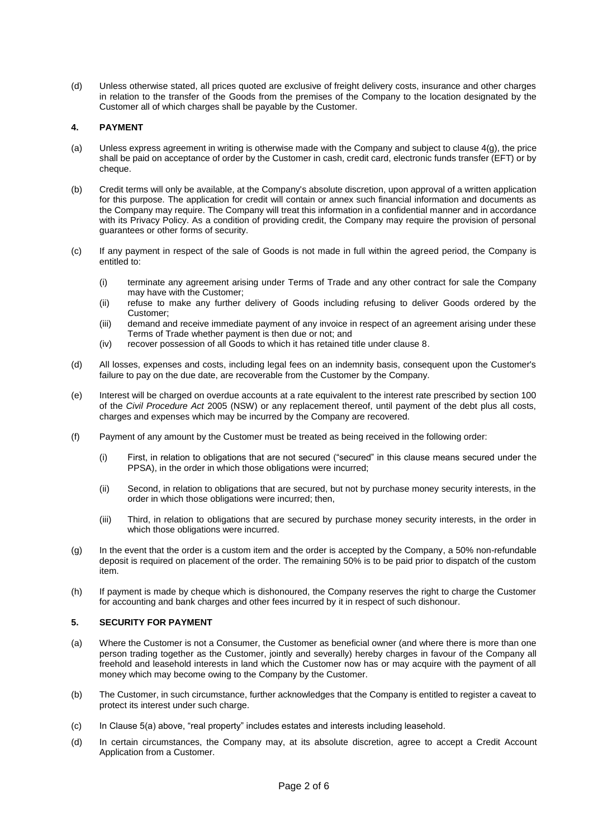(d) Unless otherwise stated, all prices quoted are exclusive of freight delivery costs, insurance and other charges in relation to the transfer of the Goods from the premises of the Company to the location designated by the Customer all of which charges shall be payable by the Customer.

# **4. PAYMENT**

- (a) Unless express agreement in writing is otherwise made with the Company and subject to clause 4(g), the price shall be paid on acceptance of order by the Customer in cash, credit card, electronic funds transfer (EFT) or by cheque.
- (b) Credit terms will only be available, at the Company's absolute discretion, upon approval of a written application for this purpose. The application for credit will contain or annex such financial information and documents as the Company may require. The Company will treat this information in a confidential manner and in accordance with its Privacy Policy. As a condition of providing credit, the Company may require the provision of personal guarantees or other forms of security.
- (c) If any payment in respect of the sale of Goods is not made in full within the agreed period, the Company is entitled to:
	- (i) terminate any agreement arising under Terms of Trade and any other contract for sale the Company may have with the Customer;
	- (ii) refuse to make any further delivery of Goods including refusing to deliver Goods ordered by the Customer;
	- (iii) demand and receive immediate payment of any invoice in respect of an agreement arising under these Terms of Trade whether payment is then due or not; and
	- (iv) recover possession of all Goods to which it has retained title under clause 8.
- (d) All losses, expenses and costs, including legal fees on an indemnity basis, consequent upon the Customer's failure to pay on the due date, are recoverable from the Customer by the Company.
- (e) Interest will be charged on overdue accounts at a rate equivalent to the interest rate prescribed by section 100 of the *Civil Procedure Act* 2005 (NSW) or any replacement thereof, until payment of the debt plus all costs, charges and expenses which may be incurred by the Company are recovered.
- (f) Payment of any amount by the Customer must be treated as being received in the following order:
	- (i) First, in relation to obligations that are not secured ("secured" in this clause means secured under the PPSA), in the order in which those obligations were incurred;
	- (ii) Second, in relation to obligations that are secured, but not by purchase money security interests, in the order in which those obligations were incurred; then,
	- (iii) Third, in relation to obligations that are secured by purchase money security interests, in the order in which those obligations were incurred.
- (g) In the event that the order is a custom item and the order is accepted by the Company, a 50% non-refundable deposit is required on placement of the order. The remaining 50% is to be paid prior to dispatch of the custom item.
- (h) If payment is made by cheque which is dishonoured, the Company reserves the right to charge the Customer for accounting and bank charges and other fees incurred by it in respect of such dishonour.

# **5. SECURITY FOR PAYMENT**

- (a) Where the Customer is not a Consumer, the Customer as beneficial owner (and where there is more than one person trading together as the Customer, jointly and severally) hereby charges in favour of the Company all freehold and leasehold interests in land which the Customer now has or may acquire with the payment of all money which may become owing to the Company by the Customer.
- (b) The Customer, in such circumstance, further acknowledges that the Company is entitled to register a caveat to protect its interest under such charge.
- (c) In Clause 5(a) above, "real property" includes estates and interests including leasehold.
- (d) In certain circumstances, the Company may, at its absolute discretion, agree to accept a Credit Account Application from a Customer.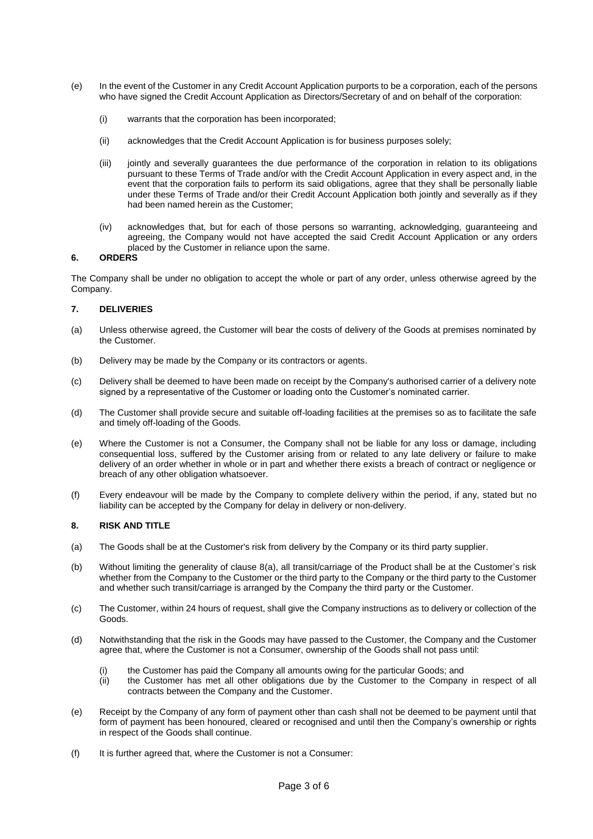- (e) In the event of the Customer in any Credit Account Application purports to be a corporation, each of the persons who have signed the Credit Account Application as Directors/Secretary of and on behalf of the corporation:
	- (i) warrants that the corporation has been incorporated;
	- (ii) acknowledges that the Credit Account Application is for business purposes solely;
	- (iii) jointly and severally guarantees the due performance of the corporation in relation to its obligations pursuant to these Terms of Trade and/or with the Credit Account Application in every aspect and, in the event that the corporation fails to perform its said obligations, agree that they shall be personally liable under these Terms of Trade and/or their Credit Account Application both jointly and severally as if they had been named herein as the Customer;
	- (iv) acknowledges that, but for each of those persons so warranting, acknowledging, guaranteeing and agreeing, the Company would not have accepted the said Credit Account Application or any orders placed by the Customer in reliance upon the same.

### **6. ORDERS**

The Company shall be under no obligation to accept the whole or part of any order, unless otherwise agreed by the Company.

### **7. DELIVERIES**

- (a) Unless otherwise agreed, the Customer will bear the costs of delivery of the Goods at premises nominated by the Customer.
- (b) Delivery may be made by the Company or its contractors or agents.
- (c) Delivery shall be deemed to have been made on receipt by the Company's authorised carrier of a delivery note signed by a representative of the Customer or loading onto the Customer's nominated carrier.
- (d) The Customer shall provide secure and suitable off-loading facilities at the premises so as to facilitate the safe and timely off-loading of the Goods.
- (e) Where the Customer is not a Consumer, the Company shall not be liable for any loss or damage, including consequential loss, suffered by the Customer arising from or related to any late delivery or failure to make delivery of an order whether in whole or in part and whether there exists a breach of contract or negligence or breach of any other obligation whatsoever.
- (f) Every endeavour will be made by the Company to complete delivery within the period, if any, stated but no liability can be accepted by the Company for delay in delivery or non-delivery.

#### **8. RISK AND TITLE**

- (a) The Goods shall be at the Customer's risk from delivery by the Company or its third party supplier.
- (b) Without limiting the generality of clause 8(a), all transit/carriage of the Product shall be at the Customer's risk whether from the Company to the Customer or the third party to the Company or the third party to the Customer and whether such transit/carriage is arranged by the Company the third party or the Customer.
- (c) The Customer, within 24 hours of request, shall give the Company instructions as to delivery or collection of the Goods.
- (d) Notwithstanding that the risk in the Goods may have passed to the Customer, the Company and the Customer agree that, where the Customer is not a Consumer, ownership of the Goods shall not pass until:
	- (i) the Customer has paid the Company all amounts owing for the particular Goods; and
	- (ii) the Customer has met all other obligations due by the Customer to the Company in respect of all contracts between the Company and the Customer.
- (e) Receipt by the Company of any form of payment other than cash shall not be deemed to be payment until that form of payment has been honoured, cleared or recognised and until then the Company's ownership or rights in respect of the Goods shall continue.
- (f) It is further agreed that, where the Customer is not a Consumer: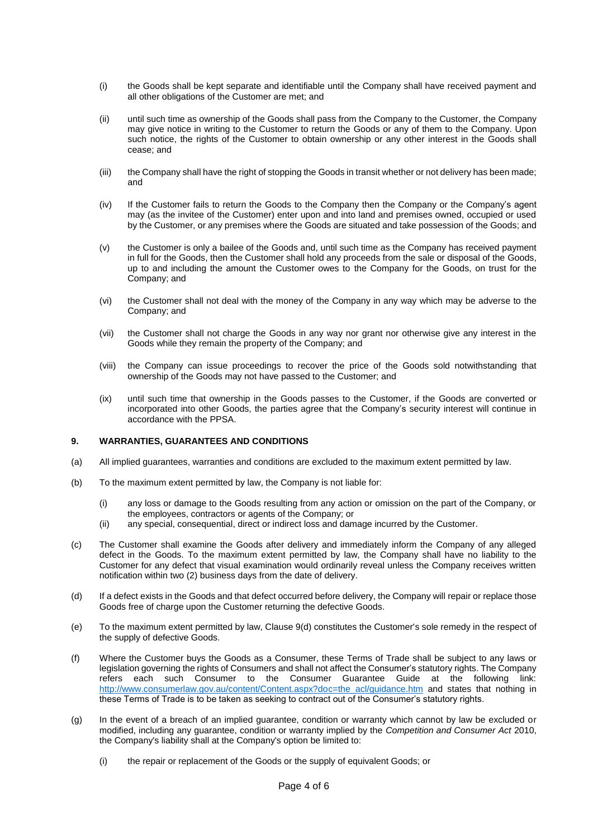- (i) the Goods shall be kept separate and identifiable until the Company shall have received payment and all other obligations of the Customer are met; and
- (ii) until such time as ownership of the Goods shall pass from the Company to the Customer, the Company may give notice in writing to the Customer to return the Goods or any of them to the Company. Upon such notice, the rights of the Customer to obtain ownership or any other interest in the Goods shall cease; and
- (iii) the Company shall have the right of stopping the Goods in transit whether or not delivery has been made; and
- (iv) If the Customer fails to return the Goods to the Company then the Company or the Company's agent may (as the invitee of the Customer) enter upon and into land and premises owned, occupied or used by the Customer, or any premises where the Goods are situated and take possession of the Goods; and
- (v) the Customer is only a bailee of the Goods and, until such time as the Company has received payment in full for the Goods, then the Customer shall hold any proceeds from the sale or disposal of the Goods, up to and including the amount the Customer owes to the Company for the Goods, on trust for the Company; and
- (vi) the Customer shall not deal with the money of the Company in any way which may be adverse to the Company; and
- (vii) the Customer shall not charge the Goods in any way nor grant nor otherwise give any interest in the Goods while they remain the property of the Company; and
- (viii) the Company can issue proceedings to recover the price of the Goods sold notwithstanding that ownership of the Goods may not have passed to the Customer; and
- (ix) until such time that ownership in the Goods passes to the Customer, if the Goods are converted or incorporated into other Goods, the parties agree that the Company's security interest will continue in accordance with the PPSA.

## **9. WARRANTIES, GUARANTEES AND CONDITIONS**

- (a) All implied guarantees, warranties and conditions are excluded to the maximum extent permitted by law.
- (b) To the maximum extent permitted by law, the Company is not liable for:
	- (i) any loss or damage to the Goods resulting from any action or omission on the part of the Company, or the employees, contractors or agents of the Company; or
	- (ii) any special, consequential, direct or indirect loss and damage incurred by the Customer.
- (c) The Customer shall examine the Goods after delivery and immediately inform the Company of any alleged defect in the Goods. To the maximum extent permitted by law, the Company shall have no liability to the Customer for any defect that visual examination would ordinarily reveal unless the Company receives written notification within two (2) business days from the date of delivery.
- (d) If a defect exists in the Goods and that defect occurred before delivery, the Company will repair or replace those Goods free of charge upon the Customer returning the defective Goods.
- (e) To the maximum extent permitted by law, Clause 9(d) constitutes the Customer's sole remedy in the respect of the supply of defective Goods.
- (f) Where the Customer buys the Goods as a Consumer, these Terms of Trade shall be subject to any laws or legislation governing the rights of Consumers and shall not affect the Consumer's statutory rights. The Company refers each such Consumer to the Consumer Guarantee Guide at the following link: [http://www.consumerlaw.gov.au/content/Content.aspx?doc=the\\_acl/guidance.htm](http://www.consumerlaw.gov.au/content/Content.aspx?doc=the_acl/guidance.htm) and states that nothing in these Terms of Trade is to be taken as seeking to contract out of the Consumer's statutory rights.
- (g) In the event of a breach of an implied guarantee, condition or warranty which cannot by law be excluded or modified, including any guarantee, condition or warranty implied by the *Competition and Consumer Act* 2010, the Company's liability shall at the Company's option be limited to:
	- (i) the repair or replacement of the Goods or the supply of equivalent Goods; or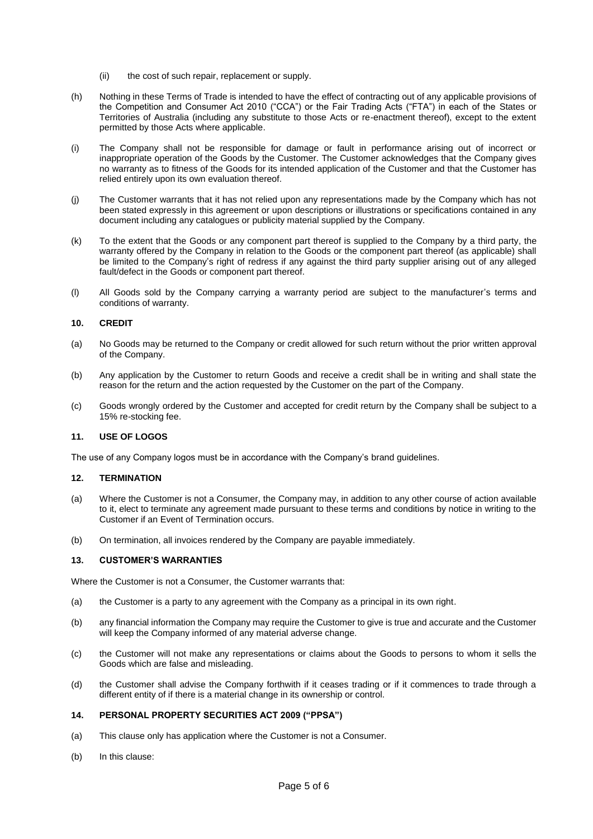- (ii) the cost of such repair, replacement or supply.
- (h) Nothing in these Terms of Trade is intended to have the effect of contracting out of any applicable provisions of the Competition and Consumer Act 2010 ("CCA") or the Fair Trading Acts ("FTA") in each of the States or Territories of Australia (including any substitute to those Acts or re-enactment thereof), except to the extent permitted by those Acts where applicable.
- (i) The Company shall not be responsible for damage or fault in performance arising out of incorrect or inappropriate operation of the Goods by the Customer. The Customer acknowledges that the Company gives no warranty as to fitness of the Goods for its intended application of the Customer and that the Customer has relied entirely upon its own evaluation thereof.
- (j) The Customer warrants that it has not relied upon any representations made by the Company which has not been stated expressly in this agreement or upon descriptions or illustrations or specifications contained in any document including any catalogues or publicity material supplied by the Company.
- (k) To the extent that the Goods or any component part thereof is supplied to the Company by a third party, the warranty offered by the Company in relation to the Goods or the component part thereof (as applicable) shall be limited to the Company's right of redress if any against the third party supplier arising out of any alleged fault/defect in the Goods or component part thereof.
- (l) All Goods sold by the Company carrying a warranty period are subject to the manufacturer's terms and conditions of warranty.

## **10. CREDIT**

- (a) No Goods may be returned to the Company or credit allowed for such return without the prior written approval of the Company.
- (b) Any application by the Customer to return Goods and receive a credit shall be in writing and shall state the reason for the return and the action requested by the Customer on the part of the Company.
- (c) Goods wrongly ordered by the Customer and accepted for credit return by the Company shall be subject to a 15% re-stocking fee.

#### **11. USE OF LOGOS**

The use of any Company logos must be in accordance with the Company's brand guidelines.

#### **12. TERMINATION**

- (a) Where the Customer is not a Consumer, the Company may, in addition to any other course of action available to it, elect to terminate any agreement made pursuant to these terms and conditions by notice in writing to the Customer if an Event of Termination occurs.
- (b) On termination, all invoices rendered by the Company are payable immediately.

### **13. CUSTOMER'S WARRANTIES**

Where the Customer is not a Consumer, the Customer warrants that:

- (a) the Customer is a party to any agreement with the Company as a principal in its own right.
- (b) any financial information the Company may require the Customer to give is true and accurate and the Customer will keep the Company informed of any material adverse change.
- (c) the Customer will not make any representations or claims about the Goods to persons to whom it sells the Goods which are false and misleading.
- (d) the Customer shall advise the Company forthwith if it ceases trading or if it commences to trade through a different entity of if there is a material change in its ownership or control.

#### **14. PERSONAL PROPERTY SECURITIES ACT 2009 ("PPSA")**

- (a) This clause only has application where the Customer is not a Consumer.
- (b) In this clause: